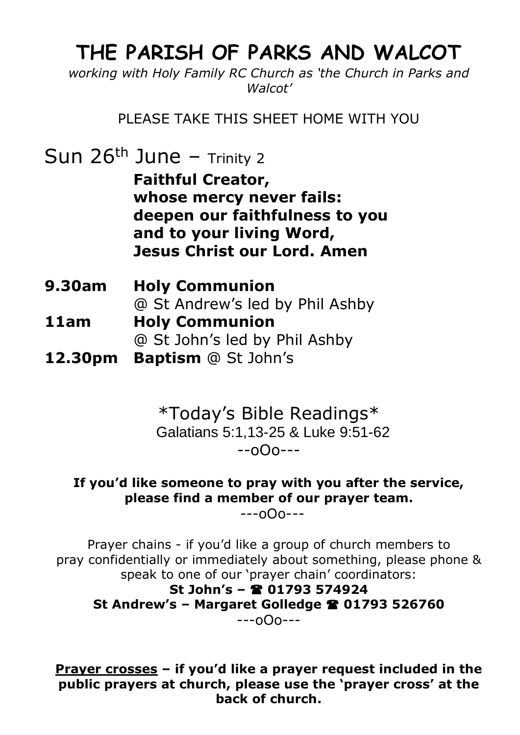## **THE PARISH OF PARKS AND WALCOT**

*working with Holy Family RC Church as 'the Church in Parks and Walcot'*

PLEASE TAKE THIS SHEET HOME WITH YOU

Sun  $26<sup>th</sup>$  June – Trinity 2

**Faithful Creator, whose mercy never fails: deepen our faithfulness to you and to your living Word, Jesus Christ our Lord. Amen**

- **9.30am Holy Communion**  @ St Andrew's led by Phil Ashby **11am Holy Communion**
	- @ St John's led by Phil Ashby
- **12.30pm Baptism** @ St John's

\*Today's Bible Readings\* Galatians 5:1,13-25 & Luke 9:51-62 --oOo---

**If you'd like someone to pray with you after the service, please find a member of our prayer team.**

---oOo---

Prayer chains - if you'd like a group of church members to pray confidentially or immediately about something, please phone & speak to one of our 'prayer chain' coordinators:

**St John's – 01793 574924 St Andrew's – Margaret Golledge 01793 526760** ---oOo---

**Prayer crosses – if you'd like a prayer request included in the public prayers at church, please use the 'prayer cross' at the back of church.**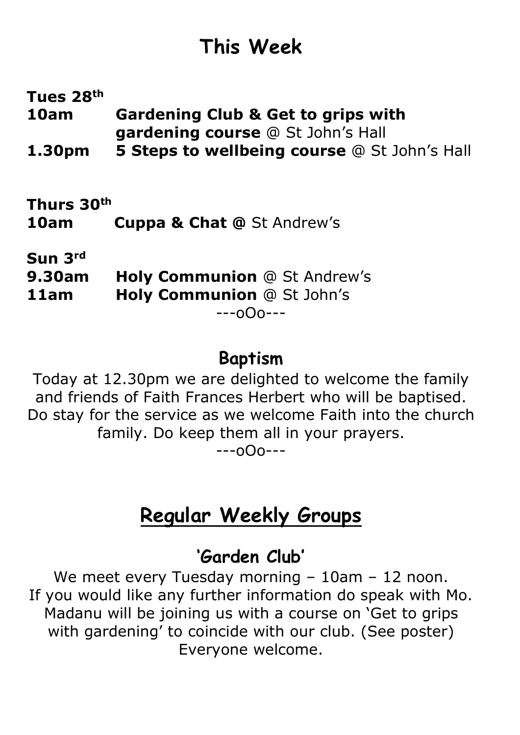# **This Week**

**Tues 28th 10am Gardening Club & Get to grips with gardening course** @ St John's Hall **1.30pm 5 Steps to wellbeing course** @ St John's Hall

**Thurs 30th 10am Cuppa & Chat @** St Andrew's

**Sun 3rd**

**9.30am Holy Communion** @ St Andrew's

**11am Holy Communion** @ St John's

---oOo---

## **Baptism**

Today at 12.30pm we are delighted to welcome the family and friends of Faith Frances Herbert who will be baptised. Do stay for the service as we welcome Faith into the church family. Do keep them all in your prayers.

---oOo---

# **Regular Weekly Groups**

## **'Garden Club'**

We meet every Tuesday morning - 10am - 12 noon. If you would like any further information do speak with Mo. Madanu will be joining us with a course on 'Get to grips with gardening' to coincide with our club. (See poster) Everyone welcome.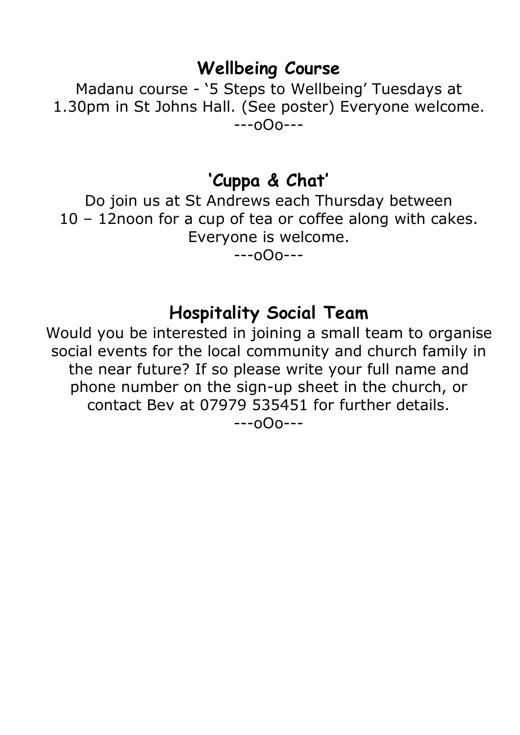#### **Wellbeing Course**

Madanu course - '5 Steps to Wellbeing' Tuesdays at 1.30pm in St Johns Hall. (See poster) Everyone welcome. ---oOo---

#### **'Cuppa & Chat'**

Do join us at St Andrews each Thursday between 10 – 12noon for a cup of tea or coffee along with cakes. Everyone is welcome.

---oOo---

#### **Hospitality Social Team**

Would you be interested in joining a small team to organise social events for the local community and church family in the near future? If so please write your full name and phone number on the sign-up sheet in the church, or contact Bev at 07979 535451 for further details. ---oOo---